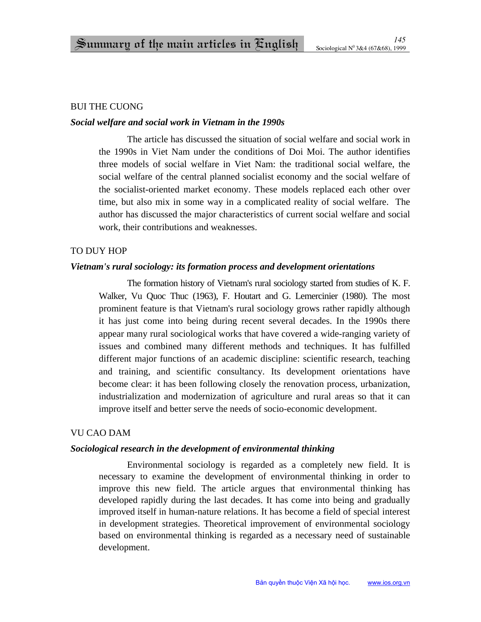## BUI THE CUONG

## *Social welfare and social work in Vietnam in the 1990s*

The article has discussed the situation of social welfare and social work in the 1990s in Viet Nam under the conditions of Doi Moi. The author identifies three models of social welfare in Viet Nam: the traditional social welfare, the social welfare of the central planned socialist economy and the social welfare of the socialist-oriented market economy. These models replaced each other over time, but also mix in some way in a complicated reality of social welfare. The author has discussed the major characteristics of current social welfare and social work, their contributions and weaknesses.

## TO DUY HOP

### *Vietnam's rural sociology: its formation process and development orientations*

The formation history of Vietnam's rural sociology started from studies of K. F. Walker, Vu Quoc Thuc (1963), F. Houtart and G. Lemercinier (1980). The most prominent feature is that Vietnam's rural sociology grows rather rapidly although it has just come into being during recent several decades. In the 1990s there appear many rural sociological works that have covered a wide-ranging variety of issues and combined many different methods and techniques. It has fulfilled different major functions of an academic discipline: scientific research, teaching and training, and scientific consultancy. Its development orientations have become clear: it has been following closely the renovation process, urbanization, industrialization and modernization of agriculture and rural areas so that it can improve itself and better serve the needs of socio-economic development.

## VU CAO DAM

## *Sociological research in the development of environmental thinking*

Environmental sociology is regarded as a completely new field. It is necessary to examine the development of environmental thinking in order to improve this new field. The article argues that environmental thinking has developed rapidly during the last decades. It has come into being and gradually improved itself in human-nature relations. It has become a field of special interest in development strategies. Theoretical improvement of environmental sociology based on environmental thinking is regarded as a necessary need of sustainable development.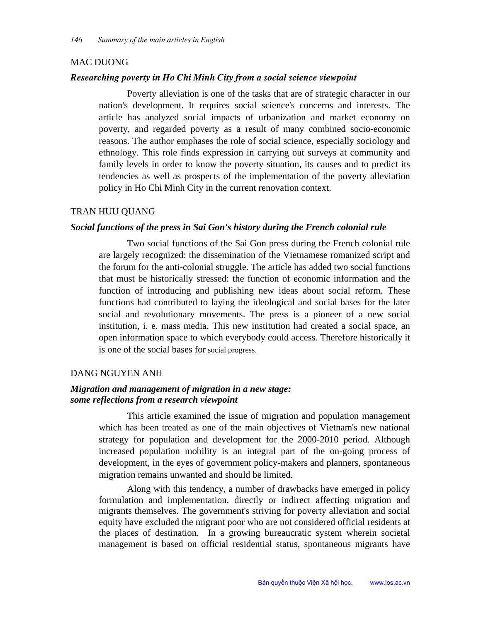## MAC DUONG

## *Researching poverty in Ho Chi Minh City from a social science viewpoint*

Poverty alleviation is one of the tasks that are of strategic character in our nation's development. It requires social science's concerns and interests. The article has analyzed social impacts of urbanization and market economy on poverty, and regarded poverty as a result of many combined socio-economic reasons. The author emphases the role of social science, especially sociology and ethnology. This role finds expression in carrying out surveys at community and family levels in order to know the poverty situation, its causes and to predict its tendencies as well as prospects of the implementation of the poverty alleviation policy in Ho Chi Minh City in the current renovation context.

## TRAN HUU QUANG

#### *Social functions of the press in Sai Gon's history during the French colonial rule*

Two social functions of the Sai Gon press during the French colonial rule are largely recognized: the dissemination of the Vietnamese romanized script and the forum for the anti-colonial struggle. The article has added two social functions that must be historically stressed: the function of economic information and the function of introducing and publishing new ideas about social reform. These functions had contributed to laying the ideological and social bases for the later social and revolutionary movements. The press is a pioneer of a new social institution, i. e. mass media. This new institution had created a social space, an open information space to which everybody could access. Therefore historically it is one of the social bases for social progress.

### DANG NGUYEN ANH

## *Migration and management of migration in a new stage: some reflections from a research viewpoint*

This article examined the issue of migration and population management which has been treated as one of the main objectives of Vietnam's new national strategy for population and development for the 2000-2010 period. Although increased population mobility is an integral part of the on-going process of development, in the eyes of government policy-makers and planners, spontaneous migration remains unwanted and should be limited.

Along with this tendency, a number of drawbacks have emerged in policy formulation and implementation, directly or indirect affecting migration and migrants themselves. The government's striving for poverty alleviation and social equity have excluded the migrant poor who are not considered official residents at the places of destination. In a growing bureaucratic system wherein societal management is based on official residential status, spontaneous migrants have